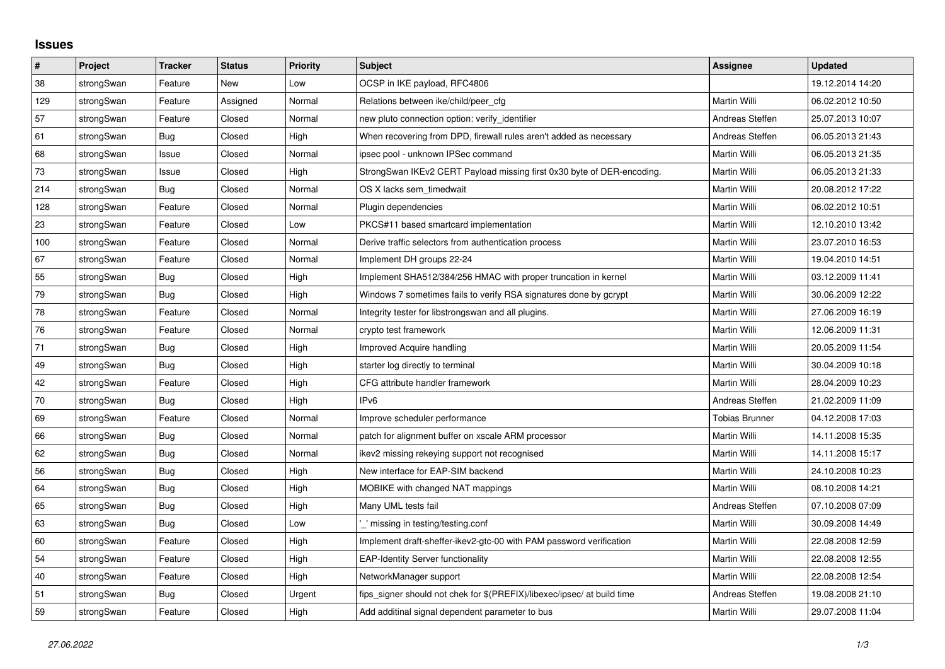## **Issues**

| $\pmb{\sharp}$ | <b>Project</b> | <b>Tracker</b> | <b>Status</b> | <b>Priority</b> | <b>Subject</b>                                                          | Assignee              | <b>Updated</b>   |
|----------------|----------------|----------------|---------------|-----------------|-------------------------------------------------------------------------|-----------------------|------------------|
| 38             | strongSwan     | Feature        | New           | Low             | OCSP in IKE payload, RFC4806                                            |                       | 19.12.2014 14:20 |
| 129            | strongSwan     | Feature        | Assigned      | Normal          | Relations between ike/child/peer cfg                                    | Martin Willi          | 06.02.2012 10:50 |
| 57             | strongSwan     | Feature        | Closed        | Normal          | new pluto connection option: verify identifier                          | Andreas Steffen       | 25.07.2013 10:07 |
| 61             | strongSwan     | Bug            | Closed        | High            | When recovering from DPD, firewall rules aren't added as necessary      | Andreas Steffen       | 06.05.2013 21:43 |
| 68             | strongSwan     | Issue          | Closed        | Normal          | ipsec pool - unknown IPSec command                                      | Martin Willi          | 06.05.2013 21:35 |
| $73\,$         | strongSwan     | Issue          | Closed        | High            | StrongSwan IKEv2 CERT Payload missing first 0x30 byte of DER-encoding.  | Martin Willi          | 06.05.2013 21:33 |
| 214            | strongSwan     | Bug            | Closed        | Normal          | OS X lacks sem timedwait                                                | Martin Willi          | 20.08.2012 17:22 |
| 128            | strongSwan     | Feature        | Closed        | Normal          | Plugin dependencies                                                     | Martin Willi          | 06.02.2012 10:51 |
| 23             | strongSwan     | Feature        | Closed        | Low             | PKCS#11 based smartcard implementation                                  | Martin Willi          | 12.10.2010 13:42 |
| 100            | strongSwan     | Feature        | Closed        | Normal          | Derive traffic selectors from authentication process                    | Martin Willi          | 23.07.2010 16:53 |
| 67             | strongSwan     | Feature        | Closed        | Normal          | Implement DH groups 22-24                                               | Martin Willi          | 19.04.2010 14:51 |
| 55             | strongSwan     | Bug            | Closed        | High            | Implement SHA512/384/256 HMAC with proper truncation in kernel          | Martin Willi          | 03.12.2009 11:41 |
| 79             | strongSwan     | Bug            | Closed        | High            | Windows 7 sometimes fails to verify RSA signatures done by gcrypt       | Martin Willi          | 30.06.2009 12:22 |
| 78             | strongSwan     | Feature        | Closed        | Normal          | Integrity tester for libstrongswan and all plugins.                     | Martin Willi          | 27.06.2009 16:19 |
| 76             | strongSwan     | Feature        | Closed        | Normal          | crypto test framework                                                   | Martin Willi          | 12.06.2009 11:31 |
| 71             | strongSwan     | Bug            | Closed        | High            | Improved Acquire handling                                               | Martin Willi          | 20.05.2009 11:54 |
| 49             | strongSwan     | Bug            | Closed        | High            | starter log directly to terminal                                        | Martin Willi          | 30.04.2009 10:18 |
| 42             | strongSwan     | Feature        | Closed        | High            | CFG attribute handler framework                                         | Martin Willi          | 28.04.2009 10:23 |
| $70\,$         | strongSwan     | Bug            | Closed        | High            | IP <sub>v6</sub>                                                        | Andreas Steffen       | 21.02.2009 11:09 |
| 69             | strongSwan     | Feature        | Closed        | Normal          | Improve scheduler performance                                           | <b>Tobias Brunner</b> | 04.12.2008 17:03 |
| 66             | strongSwan     | Bug            | Closed        | Normal          | patch for alignment buffer on xscale ARM processor                      | Martin Willi          | 14.11.2008 15:35 |
| 62             | strongSwan     | Bug            | Closed        | Normal          | ikev2 missing rekeying support not recognised                           | Martin Willi          | 14.11.2008 15:17 |
| 56             | strongSwan     | Bug            | Closed        | High            | New interface for EAP-SIM backend                                       | Martin Willi          | 24.10.2008 10:23 |
| 64             | strongSwan     | Bug            | Closed        | High            | MOBIKE with changed NAT mappings                                        | Martin Willi          | 08.10.2008 14:21 |
| 65             | strongSwan     | Bug            | Closed        | High            | Many UML tests fail                                                     | Andreas Steffen       | 07.10.2008 07:09 |
| 63             | strongSwan     | Bug            | Closed        | Low             | ' missing in testing/testing.conf                                       | Martin Willi          | 30.09.2008 14:49 |
| 60             | strongSwan     | Feature        | Closed        | High            | Implement draft-sheffer-ikev2-gtc-00 with PAM password verification     | Martin Willi          | 22.08.2008 12:59 |
| 54             | strongSwan     | Feature        | Closed        | High            | <b>EAP-Identity Server functionality</b>                                | Martin Willi          | 22.08.2008 12:55 |
| 40             | strongSwan     | Feature        | Closed        | High            | NetworkManager support                                                  | Martin Willi          | 22.08.2008 12:54 |
| 51             | strongSwan     | Bug            | Closed        | Urgent          | fips signer should not chek for \$(PREFIX)/libexec/ipsec/ at build time | Andreas Steffen       | 19.08.2008 21:10 |
| 59             | strongSwan     | Feature        | Closed        | High            | Add additinal signal dependent parameter to bus                         | Martin Willi          | 29.07.2008 11:04 |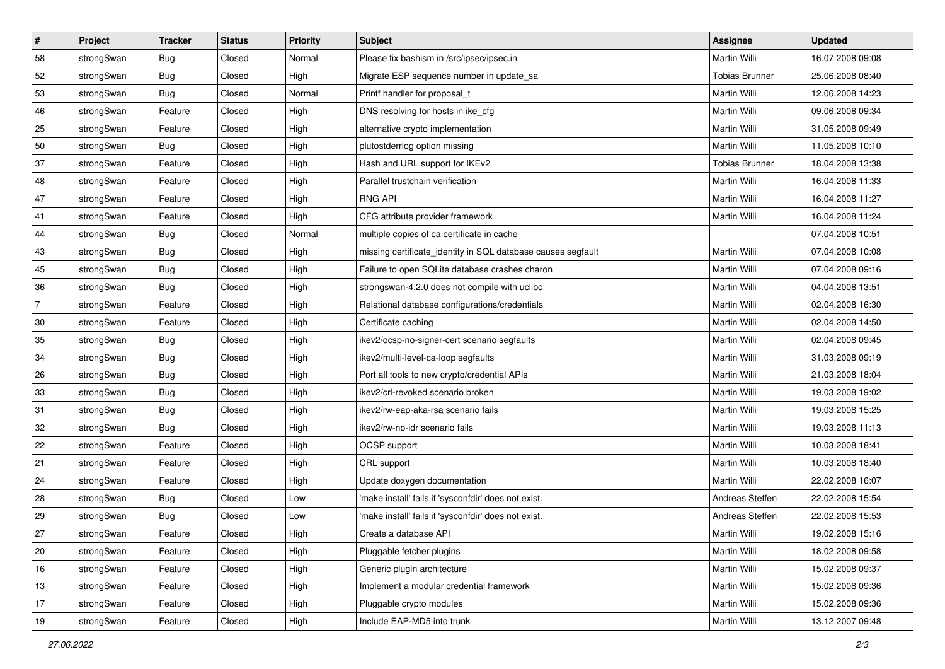| #              | Project    | <b>Tracker</b> | <b>Status</b> | <b>Priority</b> | <b>Subject</b>                                               | Assignee              | <b>Updated</b>   |
|----------------|------------|----------------|---------------|-----------------|--------------------------------------------------------------|-----------------------|------------------|
| 58             | strongSwan | <b>Bug</b>     | Closed        | Normal          | Please fix bashism in /src/ipsec/ipsec.in                    | Martin Willi          | 16.07.2008 09:08 |
| 52             | strongSwan | Bug            | Closed        | High            | Migrate ESP sequence number in update_sa                     | <b>Tobias Brunner</b> | 25.06.2008 08:40 |
| 53             | strongSwan | Bug            | Closed        | Normal          | Printf handler for proposal t                                | Martin Willi          | 12.06.2008 14:23 |
| 46             | strongSwan | Feature        | Closed        | High            | DNS resolving for hosts in ike_cfg                           | Martin Willi          | 09.06.2008 09:34 |
| 25             | strongSwan | Feature        | Closed        | High            | alternative crypto implementation                            | Martin Willi          | 31.05.2008 09:49 |
| 50             | strongSwan | Bug            | Closed        | High            | plutostderrlog option missing                                | Martin Willi          | 11.05.2008 10:10 |
| 37             | strongSwan | Feature        | Closed        | High            | Hash and URL support for IKEv2                               | <b>Tobias Brunner</b> | 18.04.2008 13:38 |
| 48             | strongSwan | Feature        | Closed        | High            | Parallel trustchain verification                             | Martin Willi          | 16.04.2008 11:33 |
| 47             | strongSwan | Feature        | Closed        | High            | <b>RNG API</b>                                               | Martin Willi          | 16.04.2008 11:27 |
| 41             | strongSwan | Feature        | Closed        | High            | CFG attribute provider framework                             | Martin Willi          | 16.04.2008 11:24 |
| 44             | strongSwan | Bug            | Closed        | Normal          | multiple copies of ca certificate in cache                   |                       | 07.04.2008 10:51 |
| 43             | strongSwan | <b>Bug</b>     | Closed        | High            | missing certificate_identity in SQL database causes segfault | Martin Willi          | 07.04.2008 10:08 |
| 45             | strongSwan | Bug            | Closed        | High            | Failure to open SQLite database crashes charon               | Martin Willi          | 07.04.2008 09:16 |
| 36             | strongSwan | Bug            | Closed        | High            | strongswan-4.2.0 does not compile with uclibe                | Martin Willi          | 04.04.2008 13:51 |
| $\overline{7}$ | strongSwan | Feature        | Closed        | High            | Relational database configurations/credentials               | Martin Willi          | 02.04.2008 16:30 |
| $30\,$         | strongSwan | Feature        | Closed        | High            | Certificate caching                                          | Martin Willi          | 02.04.2008 14:50 |
| 35             | strongSwan | Bug            | Closed        | High            | ikev2/ocsp-no-signer-cert scenario segfaults                 | Martin Willi          | 02.04.2008 09:45 |
| 34             | strongSwan | Bug            | Closed        | High            | ikev2/multi-level-ca-loop segfaults                          | Martin Willi          | 31.03.2008 09:19 |
| 26             | strongSwan | Bug            | Closed        | High            | Port all tools to new crypto/credential APIs                 | Martin Willi          | 21.03.2008 18:04 |
| 33             | strongSwan | Bug            | Closed        | High            | ikev2/crl-revoked scenario broken                            | Martin Willi          | 19.03.2008 19:02 |
| 31             | strongSwan | Bug            | Closed        | High            | ikev2/rw-eap-aka-rsa scenario fails                          | Martin Willi          | 19.03.2008 15:25 |
| 32             | strongSwan | Bug            | Closed        | High            | ikev2/rw-no-idr scenario fails                               | Martin Willi          | 19.03.2008 11:13 |
| 22             | strongSwan | Feature        | Closed        | High            | OCSP support                                                 | Martin Willi          | 10.03.2008 18:41 |
| 21             | strongSwan | Feature        | Closed        | High            | CRL support                                                  | Martin Willi          | 10.03.2008 18:40 |
| 24             | strongSwan | Feature        | Closed        | High            | Update doxygen documentation                                 | <b>Martin Willi</b>   | 22.02.2008 16:07 |
| 28             | strongSwan | Bug            | Closed        | Low             | 'make install' fails if 'sysconfdir' does not exist.         | Andreas Steffen       | 22.02.2008 15:54 |
| 29             | strongSwan | Bug            | Closed        | Low             | 'make install' fails if 'sysconfdir' does not exist.         | Andreas Steffen       | 22.02.2008 15:53 |
| 27             | strongSwan | Feature        | Closed        | High            | Create a database API                                        | Martin Willi          | 19.02.2008 15:16 |
| 20             | strongSwan | Feature        | Closed        | High            | Pluggable fetcher plugins                                    | Martin Willi          | 18.02.2008 09:58 |
| 16             | strongSwan | Feature        | Closed        | High            | Generic plugin architecture                                  | Martin Willi          | 15.02.2008 09:37 |
| 13             | strongSwan | Feature        | Closed        | High            | Implement a modular credential framework                     | Martin Willi          | 15.02.2008 09:36 |
| 17             | strongSwan | Feature        | Closed        | High            | Pluggable crypto modules                                     | Martin Willi          | 15.02.2008 09:36 |
| 19             | strongSwan | Feature        | Closed        | High            | Include EAP-MD5 into trunk                                   | Martin Willi          | 13.12.2007 09:48 |